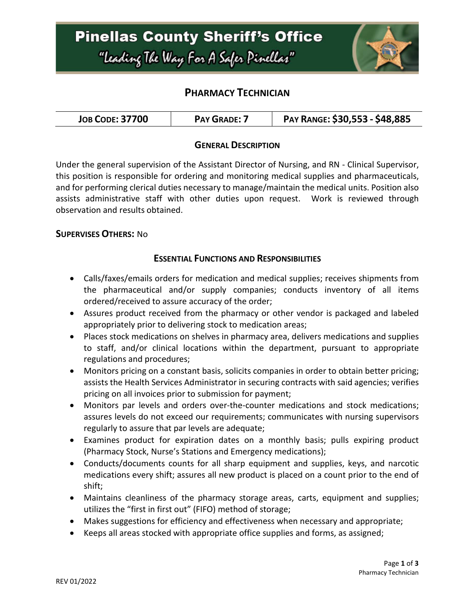

## **PHARMACY TECHNICIAN**

| <b>JOB CODE: 37700</b> | <b>PAY GRADE: 7</b> | PAY RANGE: \$30,553 - \$48,885 |
|------------------------|---------------------|--------------------------------|
|------------------------|---------------------|--------------------------------|

### **GENERAL DESCRIPTION**

Under the general supervision of the Assistant Director of Nursing, and RN - Clinical Supervisor, this position is responsible for ordering and monitoring medical supplies and pharmaceuticals, and for performing clerical duties necessary to manage/maintain the medical units. Position also assists administrative staff with other duties upon request. Work is reviewed through observation and results obtained.

#### **SUPERVISES OTHERS:** No

#### **ESSENTIAL FUNCTIONS AND RESPONSIBILITIES**

- Calls/faxes/emails orders for medication and medical supplies; receives shipments from the pharmaceutical and/or supply companies; conducts inventory of all items ordered/received to assure accuracy of the order;
- Assures product received from the pharmacy or other vendor is packaged and labeled appropriately prior to delivering stock to medication areas;
- Places stock medications on shelves in pharmacy area, delivers medications and supplies to staff, and/or clinical locations within the department, pursuant to appropriate regulations and procedures;
- Monitors pricing on a constant basis, solicits companies in order to obtain better pricing; assists the Health Services Administrator in securing contracts with said agencies; verifies pricing on all invoices prior to submission for payment;
- Monitors par levels and orders over-the-counter medications and stock medications; assures levels do not exceed our requirements; communicates with nursing supervisors regularly to assure that par levels are adequate;
- Examines product for expiration dates on a monthly basis; pulls expiring product (Pharmacy Stock, Nurse's Stations and Emergency medications);
- Conducts/documents counts for all sharp equipment and supplies, keys, and narcotic medications every shift; assures all new product is placed on a count prior to the end of shift;
- Maintains cleanliness of the pharmacy storage areas, carts, equipment and supplies; utilizes the "first in first out" (FIFO) method of storage;
- Makes suggestions for efficiency and effectiveness when necessary and appropriate;
- Keeps all areas stocked with appropriate office supplies and forms, as assigned;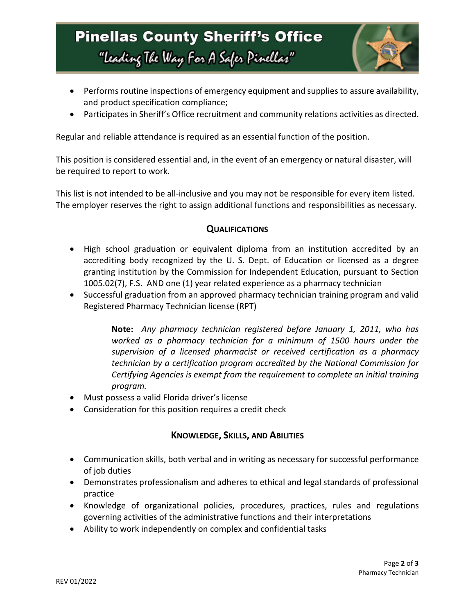# **Pinellas County Sheriff's Office** "Leading The Way For A Safer Pinellar"



- Performs routine inspections of emergency equipment and supplies to assure availability, and product specification compliance;
- Participates in Sheriff's Office recruitment and community relations activities as directed.

Regular and reliable attendance is required as an essential function of the position.

This position is considered essential and, in the event of an emergency or natural disaster, will be required to report to work.

This list is not intended to be all-inclusive and you may not be responsible for every item listed. The employer reserves the right to assign additional functions and responsibilities as necessary.

### **QUALIFICATIONS**

- High school graduation or equivalent diploma from an institution accredited by an accrediting body recognized by the U. S. Dept. of Education or licensed as a degree granting institution by the Commission for Independent Education, pursuant to Section 1005.02(7), F.S. AND one (1) year related experience as a pharmacy technician
- Successful graduation from an approved pharmacy technician training program and valid Registered Pharmacy Technician license (RPT)

**Note:** *Any pharmacy technician registered before January 1, 2011, who has worked as a pharmacy technician for a minimum of 1500 hours under the supervision of a licensed pharmacist or received certification as a pharmacy technician by a certification program accredited by the National Commission for Certifying Agencies is exempt from the requirement to complete an initial training program.*

- Must possess a valid Florida driver's license
- Consideration for this position requires a credit check

## **KNOWLEDGE, SKILLS, AND ABILITIES**

- Communication skills, both verbal and in writing as necessary for successful performance of job duties
- Demonstrates professionalism and adheres to ethical and legal standards of professional practice
- Knowledge of organizational policies, procedures, practices, rules and regulations governing activities of the administrative functions and their interpretations
- Ability to work independently on complex and confidential tasks